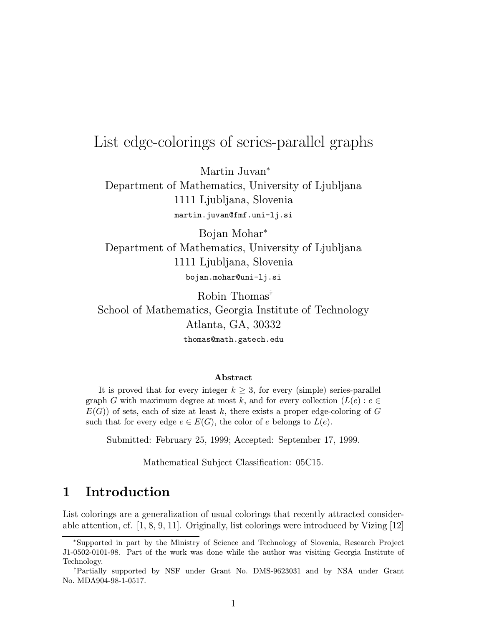# List edge-colorings of series-parallel graphs

Martin Juvan<sup>∗</sup>

Department of Mathematics, University of Ljubljana 1111 Ljubljana, Slovenia martin.juvan@fmf.uni-lj.si

Bojan Mohar<sup>∗</sup> Department of Mathematics, University of Ljubljana 1111 Ljubljana, Slovenia bojan.mohar@uni-lj.si

Robin Thomas† School of Mathematics, Georgia Institute of Technology Atlanta, GA, 30332 thomas@math.gatech.edu

#### Abstract

It is proved that for every integer  $k \geq 3$ , for every (simple) series-parallel graph G with maximum degree at most k, and for every collection  $(L(e) : e \in$  $E(G)$ ) of sets, each of size at least k, there exists a proper edge-coloring of G such that for every edge  $e \in E(G)$ , the color of e belongs to  $L(e)$ .

Submitted: February 25, 1999; Accepted: September 17, 1999.

Mathematical Subject Classification: 05C15.

## 1 Introduction

List colorings are a generalization of usual colorings that recently attracted considerable attention, cf. [1, 8, 9, 11]. Originally, list colorings were introduced by Vizing [12]

<sup>∗</sup>Supported in part by the Ministry of Science and Technology of Slovenia, Research Project J1-0502-0101-98. Part of the work was done while the author was visiting Georgia Institute of Technology.

<sup>†</sup>Partially supported by NSF under Grant No. DMS-9623031 and by NSA under Grant No. MDA904-98-1-0517.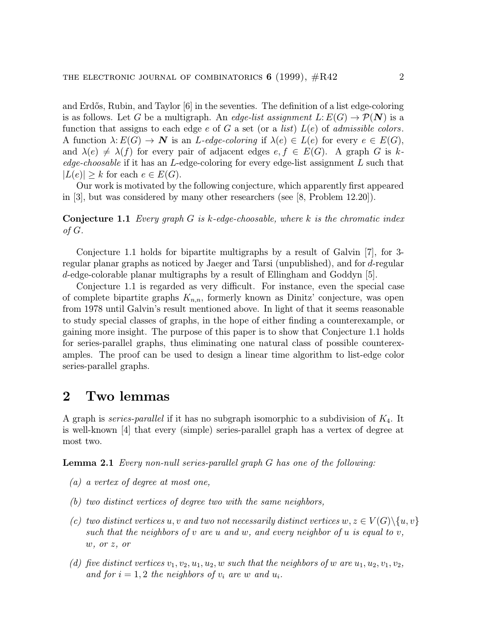and Erdős, Rubin, and Taylor  $[6]$  in the seventies. The definition of a list edge-coloring is as follows. Let G be a multigraph. An *edge-list assignment L*:  $E(G) \rightarrow \mathcal{P}(N)$  is a function that assigns to each edge e of G a set (or a *list*)  $L(e)$  of *admissible colors*. A function  $\lambda: E(G) \to \mathbf{N}$  is an *L*-edge-coloring if  $\lambda(e) \in L(e)$  for every  $e \in E(G)$ , and  $\lambda(e) \neq \lambda(f)$  for every pair of adjacent edges  $e, f \in E(G)$ . A graph G is kedge-choosable if it has an L-edge-coloring for every edge-list assignment  $L$  such that  $|L(e)| \geq k$  for each  $e \in E(G)$ .

Our work is motivated by the following conjecture, which apparently first appeared in [3], but was considered by many other researchers (see [8, Problem 12.20]).

**Conjecture 1.1** Every graph G is k-edge-choosable, where k is the chromatic index of G.

Conjecture 1.1 holds for bipartite multigraphs by a result of Galvin [7], for 3 regular planar graphs as noticed by Jaeger and Tarsi (unpublished), and for d-regular d-edge-colorable planar multigraphs by a result of Ellingham and Goddyn [5].

Conjecture 1.1 is regarded as very difficult. For instance, even the special case of complete bipartite graphs  $K_{n,n}$ , formerly known as Dinitz' conjecture, was open from 1978 until Galvin's result mentioned above. In light of that it seems reasonable to study special classes of graphs, in the hope of either finding a counterexample, or gaining more insight. The purpose of this paper is to show that Conjecture 1.1 holds for series-parallel graphs, thus eliminating one natural class of possible counterexamples. The proof can be used to design a linear time algorithm to list-edge color series-parallel graphs.

#### 2 Two lemmas

A graph is *series-parallel* if it has no subgraph isomorphic to a subdivision of  $K_4$ . It is well-known [4] that every (simple) series-parallel graph has a vertex of degree at most two.

Lemma 2.1 Every non-null series-parallel graph G has one of the following:

- (a) a vertex of degree at most one,
- (b) two distinct vertices of degree two with the same neighbors,
- (c) two distinct vertices u, v and two not necessarily distinct vertices  $w, z \in V(G) \setminus \{u, v\}$ such that the neighbors of  $v$  are  $u$  and  $w$ , and every neighbor of  $u$  is equal to  $v$ , w, or z, or
- (d) five distinct vertices  $v_1, v_2, u_1, u_2, w$  such that the neighbors of w are  $u_1, u_2, v_1, v_2,$ and for  $i = 1, 2$  the neighbors of  $v_i$  are w and  $u_i$ .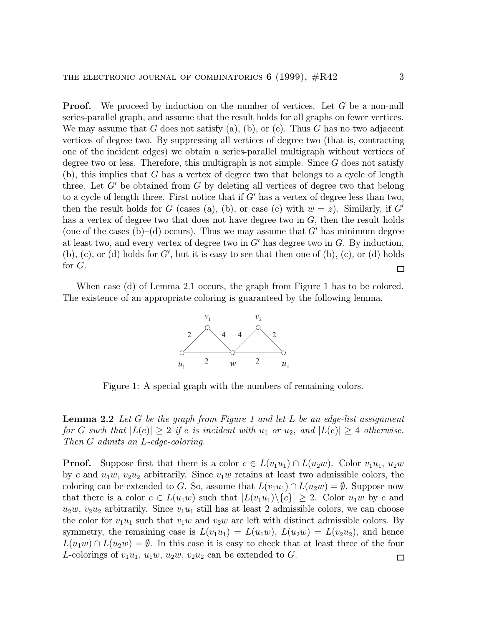**Proof.** We proceed by induction on the number of vertices. Let G be a non-null series-parallel graph, and assume that the result holds for all graphs on fewer vertices. We may assume that G does not satisfy (a), (b), or (c). Thus G has no two adjacent vertices of degree two. By suppressing all vertices of degree two (that is, contracting one of the incident edges) we obtain a series-parallel multigraph without vertices of degree two or less. Therefore, this multigraph is not simple. Since  $G$  does not satisfy  $(b)$ , this implies that G has a vertex of degree two that belongs to a cycle of length three. Let  $G'$  be obtained from  $G$  by deleting all vertices of degree two that belong to a cycle of length three. First notice that if  $G'$  has a vertex of degree less than two, then the result holds for G (cases (a), (b), or case (c) with  $w = z$ ). Similarly, if G' has a vertex of degree two that does not have degree two in  $G$ , then the result holds (one of the cases (b)–(d) occurs). Thus we may assume that  $G'$  has minimum degree at least two, and every vertex of degree two in  $G'$  has degree two in  $G$ . By induction,  $(b)$ ,  $(c)$ , or  $(d)$  holds for  $G'$ , but it is easy to see that then one of  $(b)$ ,  $(c)$ , or  $(d)$  holds for G.  $\Box$ 

When case (d) of Lemma 2.1 occurs, the graph from Figure 1 has to be colored. The existence of an appropriate coloring is guaranteed by the following lemma.



Figure 1: A special graph with the numbers of remaining colors.

**Lemma 2.2** Let G be the graph from Figure 1 and let L be an edge-list assignment for G such that  $|L(e)| \geq 2$  if e is incident with  $u_1$  or  $u_2$ , and  $|L(e)| \geq 4$  otherwise. Then G admits an L-edge-coloring.

**Proof.** Suppose first that there is a color  $c \in L(v_1u_1) \cap L(u_2w)$ . Color  $v_1u_1, u_2w$ by c and  $u_1w, v_2u_2$  arbitrarily. Since  $v_1w$  retains at least two admissible colors, the coloring can be extended to G. So, assume that  $L(v_1u_1) \cap L(u_2w) = \emptyset$ . Suppose now that there is a color  $c \in L(u_1w)$  such that  $|L(v_1u_1)\setminus\{c\}| \geq 2$ . Color  $u_1w$  by c and  $u_2w, v_2u_2$  arbitrarily. Since  $v_1u_1$  still has at least 2 admissible colors, we can choose the color for  $v_1u_1$  such that  $v_1w$  and  $v_2w$  are left with distinct admissible colors. By symmetry, the remaining case is  $L(v_1u_1) = L(u_1w)$ ,  $L(u_2w) = L(v_2u_2)$ , and hence  $L(u_1w) \cap L(u_2w) = \emptyset$ . In this case it is easy to check that at least three of the four L-colorings of  $v_1u_1, u_1w, u_2w, v_2u_2$  can be extended to G.  $\Box$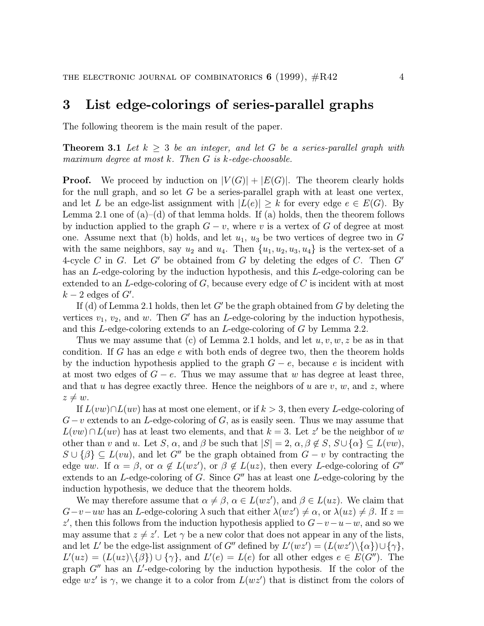### 3 List edge-colorings of series-parallel graphs

The following theorem is the main result of the paper.

**Theorem 3.1** Let  $k \geq 3$  be an integer, and let G be a series-parallel graph with maximum degree at most k. Then G is k-edge-choosable.

**Proof.** We proceed by induction on  $|V(G)| + |E(G)|$ . The theorem clearly holds for the null graph, and so let  $G$  be a series-parallel graph with at least one vertex, and let L be an edge-list assignment with  $|L(e)| \geq k$  for every edge  $e \in E(G)$ . By Lemma 2.1 one of  $(a)$ – $(d)$  of that lemma holds. If  $(a)$  holds, then the theorem follows by induction applied to the graph  $G - v$ , where v is a vertex of G of degree at most one. Assume next that (b) holds, and let  $u_1, u_3$  be two vertices of degree two in G with the same neighbors, say  $u_2$  and  $u_4$ . Then  $\{u_1, u_2, u_3, u_4\}$  is the vertex-set of a 4-cycle C in G. Let G' be obtained from G by deleting the edges of C. Then  $G'$ has an L-edge-coloring by the induction hypothesis, and this L-edge-coloring can be extended to an  $L$ -edge-coloring of  $G$ , because every edge of  $C$  is incident with at most  $k-2$  edges of  $G'$ .

If (d) of Lemma 2.1 holds, then let  $G'$  be the graph obtained from G by deleting the vertices  $v_1, v_2$ , and w. Then G' has an L-edge-coloring by the induction hypothesis, and this L-edge-coloring extends to an L-edge-coloring of G by Lemma 2.2.

Thus we may assume that (c) of Lemma 2.1 holds, and let  $u, v, w, z$  be as in that condition. If G has an edge  $e$  with both ends of degree two, then the theorem holds by the induction hypothesis applied to the graph  $G - e$ , because e is incident with at most two edges of  $G - e$ . Thus we may assume that w has degree at least three, and that u has degree exactly three. Hence the neighbors of u are v, w, and z, where  $z \neq w$ .

If  $L(vw) \cap L(uv)$  has at most one element, or if  $k > 3$ , then every L-edge-coloring of  $G-v$  extends to an L-edge-coloring of G, as is easily seen. Thus we may assume that  $L(vw) \cap L(uv)$  has at least two elements, and that  $k = 3$ . Let z' be the neighbor of w other than v and u. Let S,  $\alpha$ , and  $\beta$  be such that  $|S| = 2$ ,  $\alpha$ ,  $\beta \notin S$ ,  $S \cup {\alpha} \subseteq L(vw)$ ,  $S \cup {\beta} \subseteq L(vu)$ , and let G<sup>n</sup> be the graph obtained from  $G - v$  by contracting the edge uw. If  $\alpha = \beta$ , or  $\alpha \notin L(wz')$ , or  $\beta \notin L(uz)$ , then every L-edge-coloring of G<sup>n</sup> extends to an  $L$ -edge-coloring of G. Since  $G''$  has at least one  $L$ -edge-coloring by the induction hypothesis, we deduce that the theorem holds.

We may therefore assume that  $\alpha \neq \beta$ ,  $\alpha \in L(wz')$ , and  $\beta \in L(uz)$ . We claim that  $G-v-uw$  has an L-edge-coloring  $\lambda$  such that either  $\lambda(wz') \neq \alpha$ , or  $\lambda(uz) \neq \beta$ . If  $z =$ z', then this follows from the induction hypothesis applied to  $G-v-u-w$ , and so we may assume that  $z \neq z'$ . Let  $\gamma$  be a new color that does not appear in any of the lists, and let L' be the edge-list assignment of G" defined by  $L'(wz') = (L(wz')\setminus{\alpha})\cup{\gamma},$  $L'(uz) = (L(uz)\setminus {\{\beta\}}) \cup {\{\gamma\}},$  and  $L'(e) = L(e)$  for all other edges  $e \in E(G'')$ . The graph  $G''$  has an  $L'$ -edge-coloring by the induction hypothesis. If the color of the edge  $wz'$  is  $\gamma$ , we change it to a color from  $L(wz')$  that is distinct from the colors of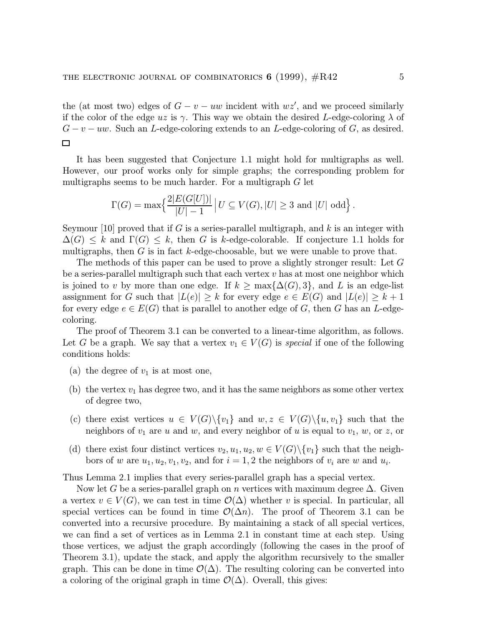the (at most two) edges of  $G - v - uw$  incident with  $wz'$ , and we proceed similarly if the color of the edge uz is  $\gamma$ . This way we obtain the desired L-edge-coloring  $\lambda$  of  $G - v - uw$ . Such an L-edge-coloring extends to an L-edge-coloring of G, as desired.  $\Box$ 

It has been suggested that Conjecture 1.1 might hold for multigraphs as well. However, our proof works only for simple graphs; the corresponding problem for multigraphs seems to be much harder. For a multigraph  $G$  let

$$
\Gamma(G) = \max \left\{ \frac{2|E(G[U])|}{|U|-1} \, \middle| \, U \subseteq V(G), |U| \geq 3 \text{ and } |U| \text{ odd} \right\}.
$$

Seymour [10] proved that if G is a series-parallel multigraph, and k is an integer with  $\Delta(G) \leq k$  and  $\Gamma(G) \leq k$ , then G is k-edge-colorable. If conjecture 1.1 holds for multigraphs, then  $G$  is in fact  $k$ -edge-choosable, but we were unable to prove that.

The methods of this paper can be used to prove a slightly stronger result: Let G be a series-parallel multigraph such that each vertex  $v$  has at most one neighbor which is joined to v by more than one edge. If  $k \ge \max{\{\Delta(G), 3\}}$ , and L is an edge-list assignment for G such that  $|L(e)| \geq k$  for every edge  $e \in E(G)$  and  $|L(e)| \geq k+1$ for every edge  $e \in E(G)$  that is parallel to another edge of G, then G has an L-edgecoloring.

The proof of Theorem 3.1 can be converted to a linear-time algorithm, as follows. Let G be a graph. We say that a vertex  $v_1 \in V(G)$  is special if one of the following conditions holds:

- (a) the degree of  $v_1$  is at most one,
- (b) the vertex  $v_1$  has degree two, and it has the same neighbors as some other vertex of degree two,
- (c) there exist vertices  $u \in V(G) \setminus \{v_1\}$  and  $w, z \in V(G) \setminus \{u, v_1\}$  such that the neighbors of  $v_1$  are  $u$  and  $w$ , and every neighbor of  $u$  is equal to  $v_1$ ,  $w$ , or  $z$ , or
- (d) there exist four distinct vertices  $v_2, u_1, u_2, w \in V(G) \setminus \{v_1\}$  such that the neighbors of w are  $u_1, u_2, v_1, v_2$ , and for  $i = 1, 2$  the neighbors of  $v_i$  are w and  $u_i$ .

Thus Lemma 2.1 implies that every series-parallel graph has a special vertex.

Now let G be a series-parallel graph on n vertices with maximum degree  $\Delta$ . Given a vertex  $v \in V(G)$ , we can test in time  $\mathcal{O}(\Delta)$  whether v is special. In particular, all special vertices can be found in time  $\mathcal{O}(\Delta n)$ . The proof of Theorem 3.1 can be converted into a recursive procedure. By maintaining a stack of all special vertices, we can find a set of vertices as in Lemma 2.1 in constant time at each step. Using those vertices, we adjust the graph accordingly (following the cases in the proof of Theorem 3.1), update the stack, and apply the algorithm recursively to the smaller graph. This can be done in time  $\mathcal{O}(\Delta)$ . The resulting coloring can be converted into a coloring of the original graph in time  $\mathcal{O}(\Delta)$ . Overall, this gives: